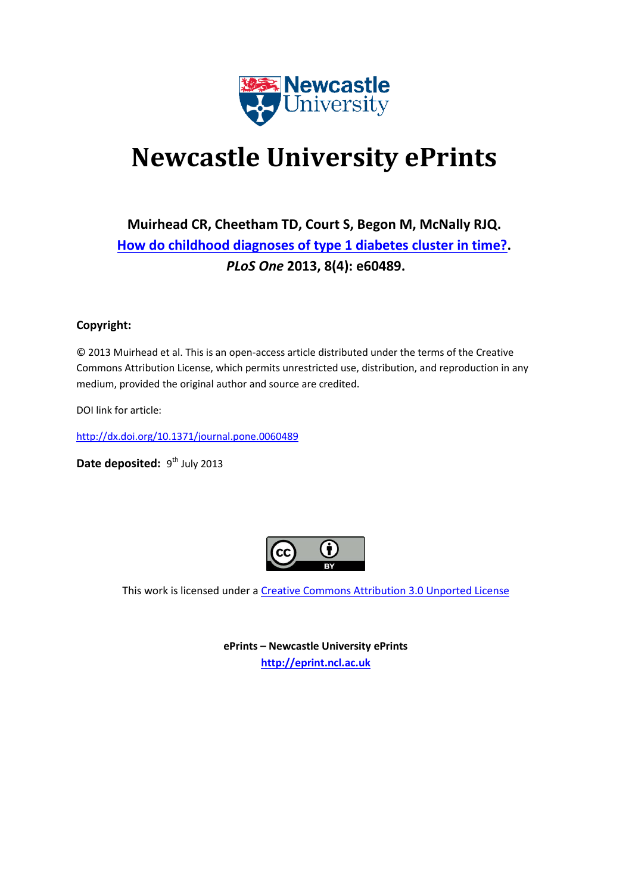

# **Newcastle University ePrints**

# **Muirhead CR, Cheetham TD, Court S, Begon M, McNally RJQ. [How do childhood diagnoses of type 1 diabetes cluster in time?.](javascript:ViewPublication(191853);)** *PLoS One* **2013, 8(4): e60489.**

# **Copyright:**

© 2013 Muirhead et al. This is an open-access article distributed under the terms of the Creative Commons Attribution License, which permits unrestricted use, distribution, and reproduction in any medium, provided the original author and source are credited.

DOI link for article:

<http://dx.doi.org/10.1371/journal.pone.0060489>

Date deposited: 9<sup>th</sup> July 2013



This work is licensed under a [Creative Commons Attribution 3.0 Unported License](http://creativecommons.org/licenses/by/3.0/deed.en_GB)

**ePrints – Newcastle University ePrints [http://eprint.ncl.ac.uk](http://eprint.ncl.ac.uk/)**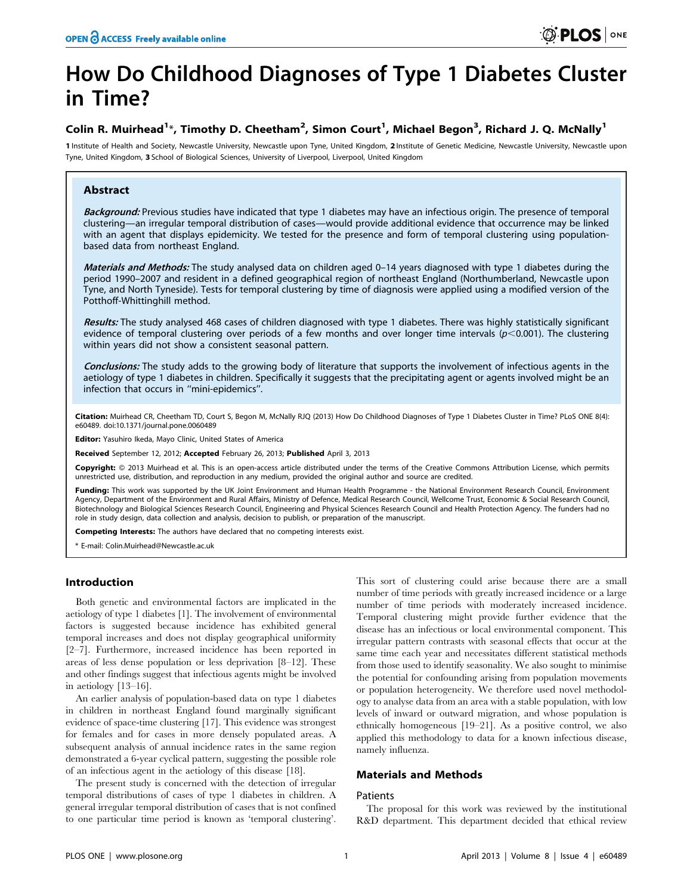# How Do Childhood Diagnoses of Type 1 Diabetes Cluster in Time?

# Colin R. Muirhead<sup>1</sup>\*, Timothy D. Cheetham<sup>2</sup>, Simon Court<sup>1</sup>, Michael Begon<sup>3</sup>, Richard J. Q. McNally<sup>1</sup>

1 Institute of Health and Society, Newcastle University, Newcastle upon Tyne, United Kingdom, 2 Institute of Genetic Medicine, Newcastle University, Newcastle upon Tyne, United Kingdom, 3 School of Biological Sciences, University of Liverpool, Liverpool, United Kingdom

# Abstract

Background: Previous studies have indicated that type 1 diabetes may have an infectious origin. The presence of temporal clustering—an irregular temporal distribution of cases—would provide additional evidence that occurrence may be linked with an agent that displays epidemicity. We tested for the presence and form of temporal clustering using populationbased data from northeast England.

Materials and Methods: The study analysed data on children aged 0-14 years diagnosed with type 1 diabetes during the period 1990–2007 and resident in a defined geographical region of northeast England (Northumberland, Newcastle upon Tyne, and North Tyneside). Tests for temporal clustering by time of diagnosis were applied using a modified version of the Potthoff-Whittinghill method.

Results: The study analysed 468 cases of children diagnosed with type 1 diabetes. There was highly statistically significant evidence of temporal clustering over periods of a few months and over longer time intervals ( $p$ <0.001). The clustering within years did not show a consistent seasonal pattern.

Conclusions: The study adds to the growing body of literature that supports the involvement of infectious agents in the aetiology of type 1 diabetes in children. Specifically it suggests that the precipitating agent or agents involved might be an infection that occurs in ''mini-epidemics''.

Citation: Muirhead CR, Cheetham TD, Court S, Begon M, McNally RJQ (2013) How Do Childhood Diagnoses of Type 1 Diabetes Cluster in Time? PLoS ONE 8(4): e60489. doi:10.1371/journal.pone.0060489

Editor: Yasuhiro Ikeda, Mayo Clinic, United States of America

Received September 12, 2012; Accepted February 26, 2013; Published April 3, 2013

**Copyright:** © 2013 Muirhead et al. This is an open-access article distributed under the terms of the Creative Commons Attribution License, which permits unrestricted use, distribution, and reproduction in any medium, provided the original author and source are credited.

Funding: This work was supported by the UK Joint Environment and Human Health Programme - the National Environment Research Council, Environment Agency, Department of the Environment and Rural Affairs, Ministry of Defence, Medical Research Council, Wellcome Trust, Economic & Social Research Council, Biotechnology and Biological Sciences Research Council, Engineering and Physical Sciences Research Council and Health Protection Agency. The funders had no role in study design, data collection and analysis, decision to publish, or preparation of the manuscript.

Competing Interests: The authors have declared that no competing interests exist.

\* E-mail: Colin.Muirhead@Newcastle.ac.uk

# Introduction

Both genetic and environmental factors are implicated in the aetiology of type 1 diabetes [1]. The involvement of environmental factors is suggested because incidence has exhibited general temporal increases and does not display geographical uniformity [2–7]. Furthermore, increased incidence has been reported in areas of less dense population or less deprivation [8–12]. These and other findings suggest that infectious agents might be involved in aetiology [13–16].

An earlier analysis of population-based data on type 1 diabetes in children in northeast England found marginally significant evidence of space-time clustering [17]. This evidence was strongest for females and for cases in more densely populated areas. A subsequent analysis of annual incidence rates in the same region demonstrated a 6-year cyclical pattern, suggesting the possible role of an infectious agent in the aetiology of this disease [18].

The present study is concerned with the detection of irregular temporal distributions of cases of type 1 diabetes in children. A general irregular temporal distribution of cases that is not confined to one particular time period is known as 'temporal clustering'.

This sort of clustering could arise because there are a small number of time periods with greatly increased incidence or a large number of time periods with moderately increased incidence. Temporal clustering might provide further evidence that the disease has an infectious or local environmental component. This irregular pattern contrasts with seasonal effects that occur at the same time each year and necessitates different statistical methods from those used to identify seasonality. We also sought to minimise the potential for confounding arising from population movements or population heterogeneity. We therefore used novel methodology to analyse data from an area with a stable population, with low levels of inward or outward migration, and whose population is ethnically homogeneous [19–21]. As a positive control, we also applied this methodology to data for a known infectious disease, namely influenza.

# Materials and Methods

# Patients

The proposal for this work was reviewed by the institutional R&D department. This department decided that ethical review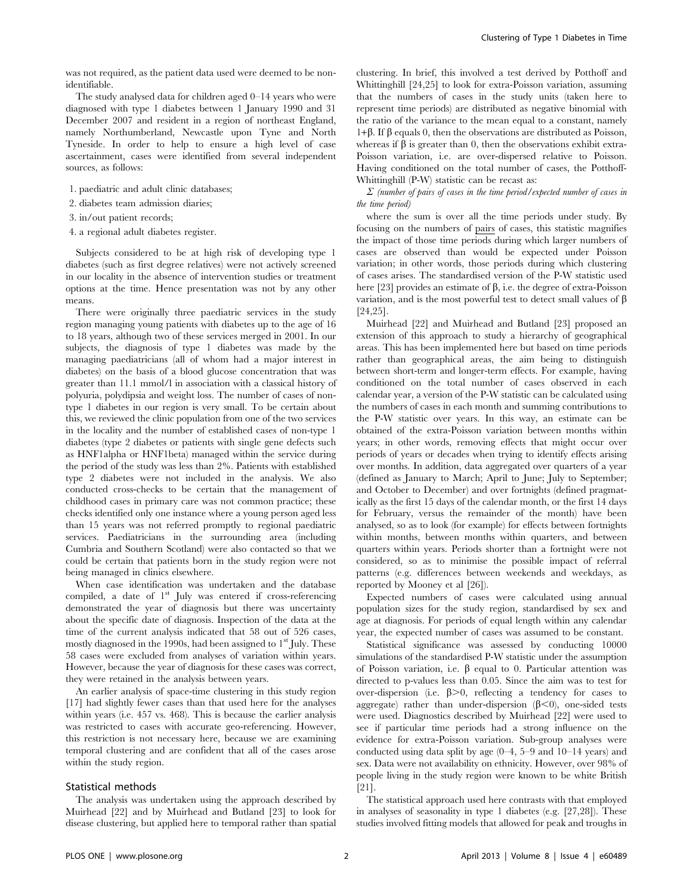was not required, as the patient data used were deemed to be nonidentifiable.

The study analysed data for children aged 0–14 years who were diagnosed with type 1 diabetes between 1 January 1990 and 31 December 2007 and resident in a region of northeast England, namely Northumberland, Newcastle upon Tyne and North Tyneside. In order to help to ensure a high level of case ascertainment, cases were identified from several independent sources, as follows:

- 1. paediatric and adult clinic databases;
- 2. diabetes team admission diaries;
- 3. in/out patient records;
- 4. a regional adult diabetes register.

Subjects considered to be at high risk of developing type 1 diabetes (such as first degree relatives) were not actively screened in our locality in the absence of intervention studies or treatment options at the time. Hence presentation was not by any other means.

There were originally three paediatric services in the study region managing young patients with diabetes up to the age of 16 to 18 years, although two of these services merged in 2001. In our subjects, the diagnosis of type 1 diabetes was made by the managing paediatricians (all of whom had a major interest in diabetes) on the basis of a blood glucose concentration that was greater than 11.1 mmol/l in association with a classical history of polyuria, polydipsia and weight loss. The number of cases of nontype 1 diabetes in our region is very small. To be certain about this, we reviewed the clinic population from one of the two services in the locality and the number of established cases of non-type 1 diabetes (type 2 diabetes or patients with single gene defects such as HNF1alpha or HNF1beta) managed within the service during the period of the study was less than 2%. Patients with established type 2 diabetes were not included in the analysis. We also conducted cross-checks to be certain that the management of childhood cases in primary care was not common practice; these checks identified only one instance where a young person aged less than 15 years was not referred promptly to regional paediatric services. Paediatricians in the surrounding area (including Cumbria and Southern Scotland) were also contacted so that we could be certain that patients born in the study region were not being managed in clinics elsewhere.

When case identification was undertaken and the database compiled, a date of 1<sup>st</sup> July was entered if cross-referencing demonstrated the year of diagnosis but there was uncertainty about the specific date of diagnosis. Inspection of the data at the time of the current analysis indicated that 58 out of 526 cases, mostly diagnosed in the 1990s, had been assigned to  $1<sup>st</sup>$  July. These 58 cases were excluded from analyses of variation within years. However, because the year of diagnosis for these cases was correct, they were retained in the analysis between years.

An earlier analysis of space-time clustering in this study region [17] had slightly fewer cases than that used here for the analyses within years (i.e. 457 vs. 468). This is because the earlier analysis was restricted to cases with accurate geo-referencing. However, this restriction is not necessary here, because we are examining temporal clustering and are confident that all of the cases arose within the study region.

#### Statistical methods

The analysis was undertaken using the approach described by Muirhead [22] and by Muirhead and Butland [23] to look for disease clustering, but applied here to temporal rather than spatial clustering. In brief, this involved a test derived by Potthoff and Whittinghill [24,25] to look for extra-Poisson variation, assuming that the numbers of cases in the study units (taken here to represent time periods) are distributed as negative binomial with the ratio of the variance to the mean equal to a constant, namely  $1+\beta$ . If  $\beta$  equals 0, then the observations are distributed as Poisson, whereas if  $\beta$  is greater than 0, then the observations exhibit extra-Poisson variation, i.e. are over-dispersed relative to Poisson. Having conditioned on the total number of cases, the Potthoff-Whittinghill (P-W) statistic can be recast as:

 $\Sigma$  (number of pairs of cases in the time period/expected number of cases in the time period)

where the sum is over all the time periods under study. By focusing on the numbers of pairs of cases, this statistic magnifies the impact of those time periods during which larger numbers of cases are observed than would be expected under Poisson variation; in other words, those periods during which clustering of cases arises. The standardised version of the P-W statistic used here [23] provides an estimate of  $\beta$ , i.e. the degree of extra-Poisson variation, and is the most powerful test to detect small values of  $\beta$ [24,25].

Muirhead [22] and Muirhead and Butland [23] proposed an extension of this approach to study a hierarchy of geographical areas. This has been implemented here but based on time periods rather than geographical areas, the aim being to distinguish between short-term and longer-term effects. For example, having conditioned on the total number of cases observed in each calendar year, a version of the P-W statistic can be calculated using the numbers of cases in each month and summing contributions to the P-W statistic over years. In this way, an estimate can be obtained of the extra-Poisson variation between months within years; in other words, removing effects that might occur over periods of years or decades when trying to identify effects arising over months. In addition, data aggregated over quarters of a year (defined as January to March; April to June; July to September; and October to December) and over fortnights (defined pragmatically as the first 15 days of the calendar month, or the first 14 days for February, versus the remainder of the month) have been analysed, so as to look (for example) for effects between fortnights within months, between months within quarters, and between quarters within years. Periods shorter than a fortnight were not considered, so as to minimise the possible impact of referral patterns (e.g. differences between weekends and weekdays, as reported by Mooney et al [26]).

Expected numbers of cases were calculated using annual population sizes for the study region, standardised by sex and age at diagnosis. For periods of equal length within any calendar year, the expected number of cases was assumed to be constant.

Statistical significance was assessed by conducting 10000 simulations of the standardised P-W statistic under the assumption of Poisson variation, i.e.  $\beta$  equal to 0. Particular attention was directed to p-values less than 0.05. Since the aim was to test for over-dispersion (i.e.  $\beta$ >0, reflecting a tendency for cases to aggregate) rather than under-dispersion ( $\beta$ <0), one-sided tests were used. Diagnostics described by Muirhead [22] were used to see if particular time periods had a strong influence on the evidence for extra-Poisson variation. Sub-group analyses were conducted using data split by age (0–4, 5–9 and 10–14 years) and sex. Data were not availability on ethnicity. However, over 98% of people living in the study region were known to be white British [21].

The statistical approach used here contrasts with that employed in analyses of seasonality in type 1 diabetes (e.g. [27,28]). These studies involved fitting models that allowed for peak and troughs in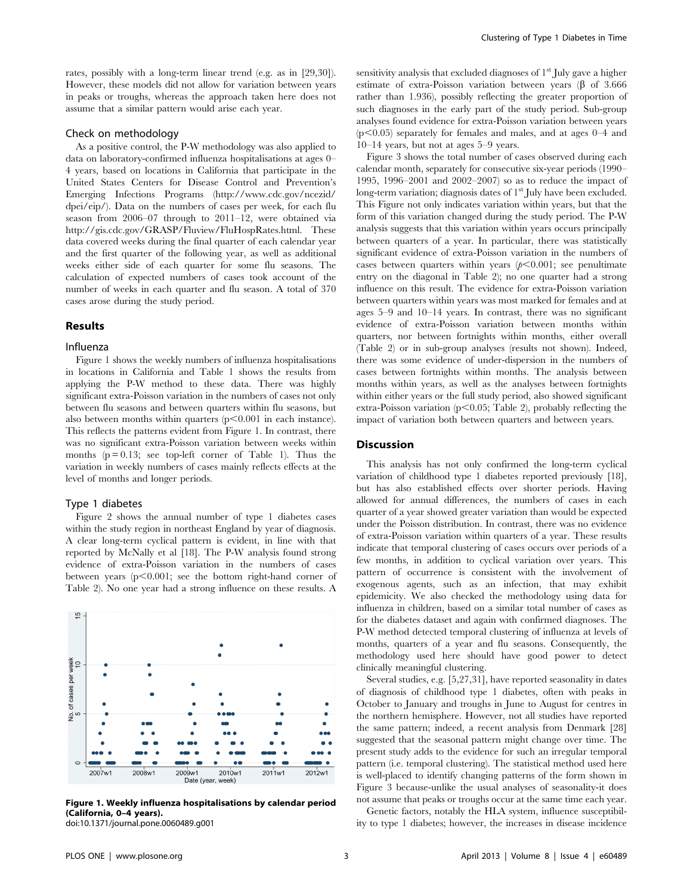rates, possibly with a long-term linear trend (e.g. as in [29,30]). However, these models did not allow for variation between years in peaks or troughs, whereas the approach taken here does not assume that a similar pattern would arise each year.

# Check on methodology

As a positive control, the P-W methodology was also applied to data on laboratory-confirmed influenza hospitalisations at ages 0– 4 years, based on locations in California that participate in the United States Centers for Disease Control and Prevention's Emerging Infections Programs (http://www.cdc.gov/ncezid/ dpei/eip/). Data on the numbers of cases per week, for each flu season from 2006–07 through to 2011–12, were obtained via http://gis.cdc.gov/GRASP/Fluview/FluHospRates.html. These data covered weeks during the final quarter of each calendar year and the first quarter of the following year, as well as additional weeks either side of each quarter for some flu seasons. The calculation of expected numbers of cases took account of the number of weeks in each quarter and flu season. A total of 370 cases arose during the study period.

# Results

# Influenza

Figure 1 shows the weekly numbers of influenza hospitalisations in locations in California and Table 1 shows the results from applying the P-W method to these data. There was highly significant extra-Poisson variation in the numbers of cases not only between flu seasons and between quarters within flu seasons, but also between months within quarters  $(p<0.001$  in each instance). This reflects the patterns evident from Figure 1. In contrast, there was no significant extra-Poisson variation between weeks within months  $(p = 0.13;$  see top-left corner of Table 1). Thus the variation in weekly numbers of cases mainly reflects effects at the level of months and longer periods.

## Type 1 diabetes

Figure 2 shows the annual number of type 1 diabetes cases within the study region in northeast England by year of diagnosis. A clear long-term cyclical pattern is evident, in line with that reported by McNally et al [18]. The P-W analysis found strong evidence of extra-Poisson variation in the numbers of cases between years  $(p<0.001$ ; see the bottom right-hand corner of Table 2). No one year had a strong influence on these results. A



Figure 1. Weekly influenza hospitalisations by calendar period (California, 0–4 years).

sensitivity analysis that excluded diagnoses of  $1<sup>st</sup>$  July gave a higher estimate of extra-Poisson variation between years  $(\beta \text{ of } 3.666)$ rather than 1.936), possibly reflecting the greater proportion of such diagnoses in the early part of the study period. Sub-group analyses found evidence for extra-Poisson variation between years  $(p<0.05)$  separately for females and males, and at ages  $0-4$  and 10–14 years, but not at ages 5–9 years.

Figure 3 shows the total number of cases observed during each calendar month, separately for consecutive six-year periods (1990– 1995, 1996–2001 and 2002–2007) so as to reduce the impact of long-term variation; diagnosis dates of 1<sup>st</sup> July have been excluded. This Figure not only indicates variation within years, but that the form of this variation changed during the study period. The P-W analysis suggests that this variation within years occurs principally between quarters of a year. In particular, there was statistically significant evidence of extra-Poisson variation in the numbers of cases between quarters within years  $(p<0.001$ ; see penultimate entry on the diagonal in Table 2); no one quarter had a strong influence on this result. The evidence for extra-Poisson variation between quarters within years was most marked for females and at ages 5–9 and 10–14 years. In contrast, there was no significant evidence of extra-Poisson variation between months within quarters, nor between fortnights within months, either overall (Table 2) or in sub-group analyses (results not shown). Indeed, there was some evidence of under-dispersion in the numbers of cases between fortnights within months. The analysis between months within years, as well as the analyses between fortnights within either years or the full study period, also showed significant extra-Poisson variation ( $p<0.05$ ; Table 2), probably reflecting the impact of variation both between quarters and between years.

# Discussion

This analysis has not only confirmed the long-term cyclical variation of childhood type 1 diabetes reported previously [18], but has also established effects over shorter periods. Having allowed for annual differences, the numbers of cases in each quarter of a year showed greater variation than would be expected under the Poisson distribution. In contrast, there was no evidence of extra-Poisson variation within quarters of a year. These results indicate that temporal clustering of cases occurs over periods of a few months, in addition to cyclical variation over years. This pattern of occurrence is consistent with the involvement of exogenous agents, such as an infection, that may exhibit epidemicity. We also checked the methodology using data for influenza in children, based on a similar total number of cases as for the diabetes dataset and again with confirmed diagnoses. The P-W method detected temporal clustering of influenza at levels of months, quarters of a year and flu seasons. Consequently, the methodology used here should have good power to detect clinically meaningful clustering.

Several studies, e.g. [5,27,31], have reported seasonality in dates of diagnosis of childhood type 1 diabetes, often with peaks in October to January and troughs in June to August for centres in the northern hemisphere. However, not all studies have reported the same pattern; indeed, a recent analysis from Denmark [28] suggested that the seasonal pattern might change over time. The present study adds to the evidence for such an irregular temporal pattern (i.e. temporal clustering). The statistical method used here is well-placed to identify changing patterns of the form shown in Figure 3 because-unlike the usual analyses of seasonality-it does not assume that peaks or troughs occur at the same time each year.

Genetic factors, notably the HLA system, influence susceptibility to type 1 diabetes; however, the increases in disease incidence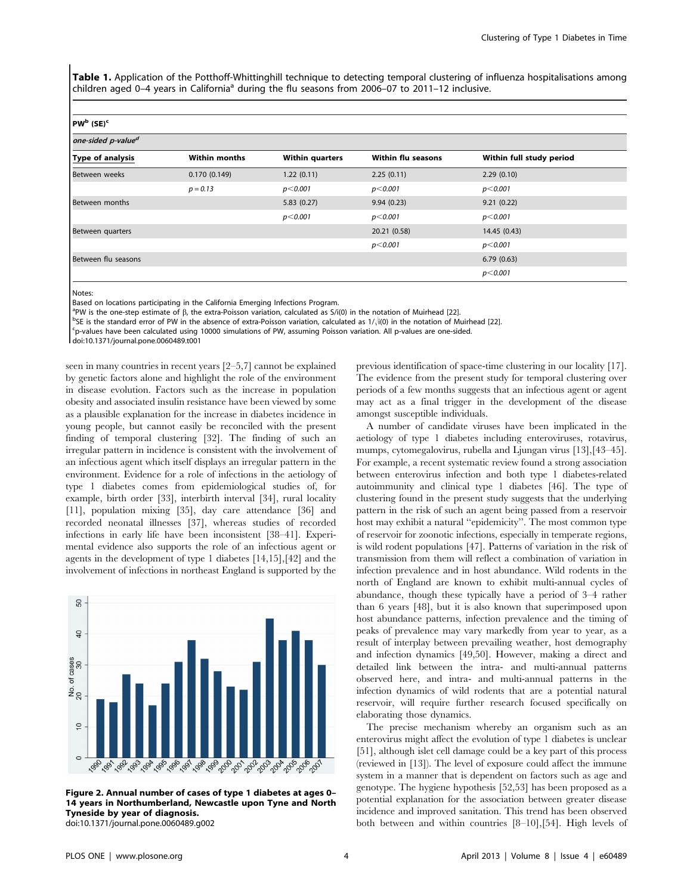Table 1. Application of the Potthoff-Whittinghill technique to detecting temporal clustering of influenza hospitalisations among children aged 0–4 years in California<sup>a</sup> during the flu seasons from 2006–07 to 2011–12 inclusive.

#### PW<sup>b</sup> (SE)<sup>e</sup>

| one-sided p-value <sup>d</sup> |                      |                        |                           |                          |  |
|--------------------------------|----------------------|------------------------|---------------------------|--------------------------|--|
| Type of analysis               | <b>Within months</b> | <b>Within quarters</b> | <b>Within flu seasons</b> | Within full study period |  |
| Between weeks                  | 0.170(0.149)         | 1.22(0.11)             | 2.25(0.11)                | 2.29(0.10)               |  |
|                                | $p = 0.13$           | p<0.001                | p<0.001                   | p<0.001                  |  |
| Between months                 |                      | 5.83(0.27)             | 9.94(0.23)                | 9.21(0.22)               |  |
|                                |                      | p<0.001                | p<0.001                   | p<0.001                  |  |
| Between quarters               |                      |                        | 20.21 (0.58)              | 14.45 (0.43)             |  |
|                                |                      |                        | p<0.001                   | p<0.001                  |  |
| Between flu seasons            |                      |                        |                           | 6.79(0.63)               |  |
|                                |                      |                        |                           | p<0.001                  |  |

Notes:

Based on locations participating in the California Emerging Infections Program.

<sup>a</sup>PW is the one-step estimate of  $\beta$ , the extra-Poisson variation, calculated as  $S/(10)$  in the notation of Muirhead [22].  $b_{\rm CE}$  is the standard error of PW in the absence of extra-Poisson variation, calculated as  $1$ 

<sup>b</sup>SE is the standard error of PW in the absence of extra-Poisson variation, calculated as  $1/\sqrt{10}$  in the notation of Muirhead [22].

p-values have been calculated using 10000 simulations of PW, assuming Poisson variation. All p-values are one-sided.

doi:10.1371/journal.pone.0060489.t001

seen in many countries in recent years [2–5,7] cannot be explained by genetic factors alone and highlight the role of the environment in disease evolution. Factors such as the increase in population obesity and associated insulin resistance have been viewed by some as a plausible explanation for the increase in diabetes incidence in young people, but cannot easily be reconciled with the present finding of temporal clustering [32]. The finding of such an irregular pattern in incidence is consistent with the involvement of an infectious agent which itself displays an irregular pattern in the environment. Evidence for a role of infections in the aetiology of type 1 diabetes comes from epidemiological studies of, for example, birth order [33], interbirth interval [34], rural locality [11], population mixing [35], day care attendance [36] and recorded neonatal illnesses [37], whereas studies of recorded infections in early life have been inconsistent [38–41]. Experimental evidence also supports the role of an infectious agent or agents in the development of type 1 diabetes [14,15],[42] and the involvement of infections in northeast England is supported by the



Figure 2. Annual number of cases of type 1 diabetes at ages 0– 14 years in Northumberland, Newcastle upon Tyne and North Tyneside by year of diagnosis. doi:10.1371/journal.pone.0060489.g002

previous identification of space-time clustering in our locality [17]. The evidence from the present study for temporal clustering over periods of a few months suggests that an infectious agent or agent may act as a final trigger in the development of the disease amongst susceptible individuals.

A number of candidate viruses have been implicated in the aetiology of type 1 diabetes including enteroviruses, rotavirus, mumps, cytomegalovirus, rubella and Ljungan virus [13],[43–45]. For example, a recent systematic review found a strong association between enterovirus infection and both type 1 diabetes-related autoimmunity and clinical type 1 diabetes [46]. The type of clustering found in the present study suggests that the underlying pattern in the risk of such an agent being passed from a reservoir host may exhibit a natural ''epidemicity''. The most common type of reservoir for zoonotic infections, especially in temperate regions, is wild rodent populations [47]. Patterns of variation in the risk of transmission from them will reflect a combination of variation in infection prevalence and in host abundance. Wild rodents in the north of England are known to exhibit multi-annual cycles of abundance, though these typically have a period of 3–4 rather than 6 years [48], but it is also known that superimposed upon host abundance patterns, infection prevalence and the timing of peaks of prevalence may vary markedly from year to year, as a result of interplay between prevailing weather, host demography and infection dynamics [49,50]. However, making a direct and detailed link between the intra- and multi-annual patterns observed here, and intra- and multi-annual patterns in the infection dynamics of wild rodents that are a potential natural reservoir, will require further research focused specifically on elaborating those dynamics.

The precise mechanism whereby an organism such as an enterovirus might affect the evolution of type 1 diabetes is unclear [51], although islet cell damage could be a key part of this process (reviewed in [13]). The level of exposure could affect the immune system in a manner that is dependent on factors such as age and genotype. The hygiene hypothesis [52,53] has been proposed as a potential explanation for the association between greater disease incidence and improved sanitation. This trend has been observed both between and within countries [8–10],[54]. High levels of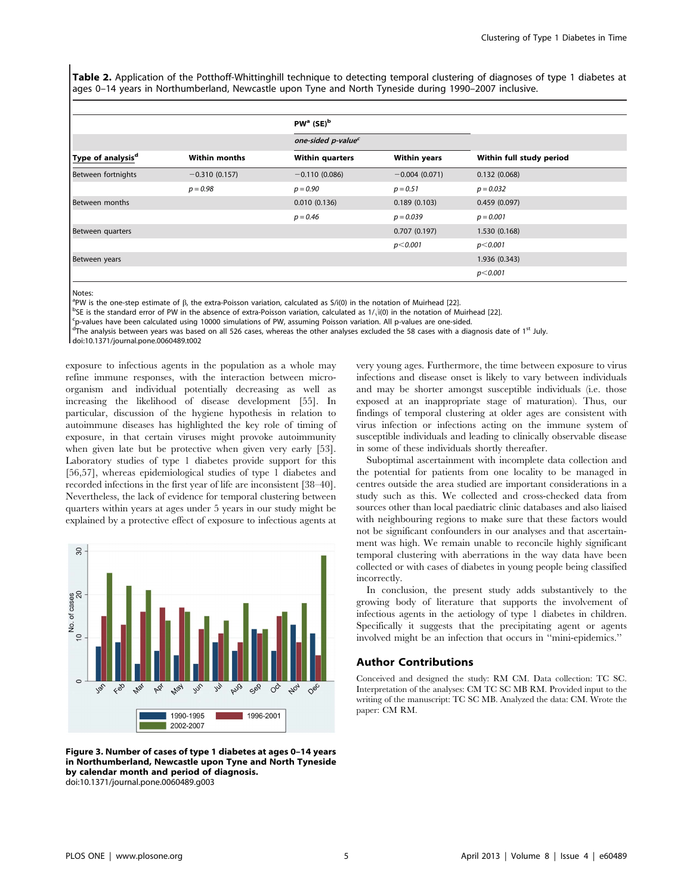Table 2. Application of the Potthoff-Whittinghill technique to detecting temporal clustering of diagnoses of type 1 diabetes at ages 0–14 years in Northumberland, Newcastle upon Tyne and North Tyneside during 1990–2007 inclusive.

| Type of analysis <sup>d</sup> | <b>Within months</b> | PW <sup>a</sup> (SE) <sup>b</sup><br>one-sided p-value <sup>c</sup> |                 |                 |
|-------------------------------|----------------------|---------------------------------------------------------------------|-----------------|-----------------|
|                               |                      |                                                                     |                 |                 |
|                               |                      | Between fortnights                                                  | $-0.310(0.157)$ | $-0.110(0.086)$ |
| $p = 0.98$                    | $p = 0.90$           |                                                                     | $p = 0.51$      | $p = 0.032$     |
| Between months                |                      | 0.010(0.136)                                                        | 0.189(0.103)    | 0.459(0.097)    |
|                               |                      | $p = 0.46$                                                          | $p = 0.039$     | $p = 0.001$     |
| Between quarters              |                      |                                                                     | 0.707(0.197)    | 1.530 (0.168)   |
|                               |                      |                                                                     | p<0.001         | p<0.001         |
| Between years                 |                      |                                                                     |                 | 1.936 (0.343)   |
|                               |                      |                                                                     |                 | $p<$ 0.001      |

Notes:

<sup>a</sup>PW is the one-step estimate of  $\beta$ , the extra-Poisson variation, calculated as  $S/(10)$  in the notation of Muirhead [22].  $b_{\rm CE}$  is the standard error of PW in the absence of extra-Poisson variation, calculated as  $1$ 

 $^{b}$ SE is the standard error of PW in the absence of extra-Poisson variation, calculated as  $1/\sqrt{10}$  in the notation of Muirhead [22].

<sup>c</sup>p-values have been calculated using 10000 simulations of PW, assuming Poisson variation. All p-values are one-sided.

dThe analysis between years was based on all 526 cases, whereas the other analyses excluded the 58 cases with a diagnosis date of 1<sup>st</sup> July.

doi:10.1371/journal.pone.0060489.t002

exposure to infectious agents in the population as a whole may refine immune responses, with the interaction between microorganism and individual potentially decreasing as well as increasing the likelihood of disease development [55]. In particular, discussion of the hygiene hypothesis in relation to autoimmune diseases has highlighted the key role of timing of exposure, in that certain viruses might provoke autoimmunity when given late but be protective when given very early [53]. Laboratory studies of type 1 diabetes provide support for this [56,57], whereas epidemiological studies of type 1 diabetes and recorded infections in the first year of life are inconsistent [38–40]. Nevertheless, the lack of evidence for temporal clustering between quarters within years at ages under 5 years in our study might be explained by a protective effect of exposure to infectious agents at



Figure 3. Number of cases of type 1 diabetes at ages 0–14 years in Northumberland, Newcastle upon Tyne and North Tyneside by calendar month and period of diagnosis. doi:10.1371/journal.pone.0060489.g003

very young ages. Furthermore, the time between exposure to virus infections and disease onset is likely to vary between individuals and may be shorter amongst susceptible individuals (i.e. those exposed at an inappropriate stage of maturation). Thus, our findings of temporal clustering at older ages are consistent with virus infection or infections acting on the immune system of susceptible individuals and leading to clinically observable disease in some of these individuals shortly thereafter.

Suboptimal ascertainment with incomplete data collection and the potential for patients from one locality to be managed in centres outside the area studied are important considerations in a study such as this. We collected and cross-checked data from sources other than local paediatric clinic databases and also liaised with neighbouring regions to make sure that these factors would not be significant confounders in our analyses and that ascertainment was high. We remain unable to reconcile highly significant temporal clustering with aberrations in the way data have been collected or with cases of diabetes in young people being classified incorrectly.

In conclusion, the present study adds substantively to the growing body of literature that supports the involvement of infectious agents in the aetiology of type 1 diabetes in children. Specifically it suggests that the precipitating agent or agents involved might be an infection that occurs in ''mini-epidemics.''

# Author Contributions

Conceived and designed the study: RM CM. Data collection: TC SC. Interpretation of the analyses: CM TC SC MB RM. Provided input to the writing of the manuscript: TC SC MB. Analyzed the data: CM. Wrote the paper: CM RM.